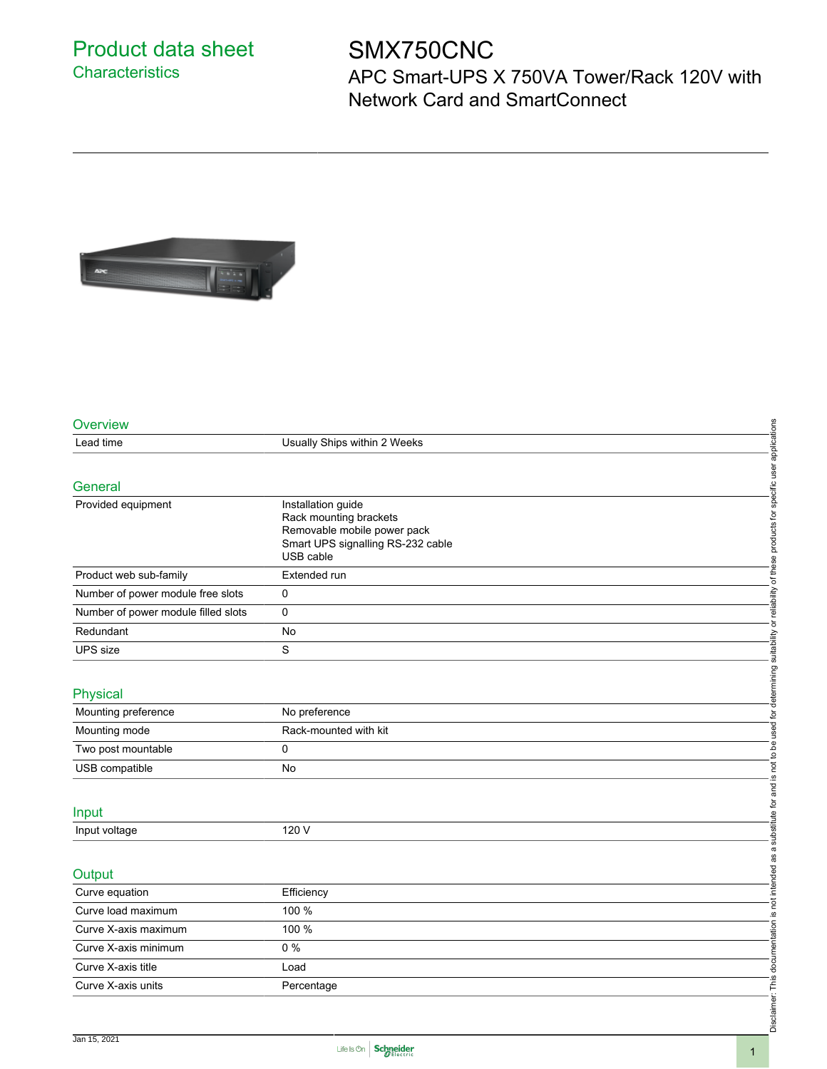## Product data sheet **Characteristics**

## SMX750CNC

APC Smart-UPS X 750VA Tower/Rack 120V with Network Card and SmartConnect



| Overview                            |                                                                                                                               |                                                                                                                                                                                      |
|-------------------------------------|-------------------------------------------------------------------------------------------------------------------------------|--------------------------------------------------------------------------------------------------------------------------------------------------------------------------------------|
| Lead time                           | Usually Ships within 2 Weeks                                                                                                  |                                                                                                                                                                                      |
|                                     |                                                                                                                               |                                                                                                                                                                                      |
| General                             |                                                                                                                               |                                                                                                                                                                                      |
| Provided equipment                  | Installation guide<br>Rack mounting brackets<br>Removable mobile power pack<br>Smart UPS signalling RS-232 cable<br>USB cable | Disclaimer: This documentation is not intended as a substitute for and is not to be used for determining suitability or reliability of these products for specific user applications |
| Product web sub-family              | Extended run                                                                                                                  |                                                                                                                                                                                      |
| Number of power module free slots   | 0                                                                                                                             |                                                                                                                                                                                      |
| Number of power module filled slots | 0                                                                                                                             |                                                                                                                                                                                      |
| Redundant                           | No                                                                                                                            |                                                                                                                                                                                      |
| <b>UPS</b> size                     | S                                                                                                                             |                                                                                                                                                                                      |
|                                     |                                                                                                                               |                                                                                                                                                                                      |
| Physical                            |                                                                                                                               |                                                                                                                                                                                      |
| Mounting preference                 | No preference                                                                                                                 |                                                                                                                                                                                      |
| Mounting mode                       | Rack-mounted with kit                                                                                                         |                                                                                                                                                                                      |
| Two post mountable                  | 0                                                                                                                             |                                                                                                                                                                                      |
| USB compatible                      | No                                                                                                                            |                                                                                                                                                                                      |
|                                     |                                                                                                                               |                                                                                                                                                                                      |
| Input                               |                                                                                                                               |                                                                                                                                                                                      |
| Input voltage                       | 120 V                                                                                                                         |                                                                                                                                                                                      |
| Output                              |                                                                                                                               |                                                                                                                                                                                      |
| Curve equation                      | Efficiency                                                                                                                    |                                                                                                                                                                                      |
| Curve load maximum                  | 100 %                                                                                                                         |                                                                                                                                                                                      |
| Curve X-axis maximum                | 100 %                                                                                                                         |                                                                                                                                                                                      |
| Curve X-axis minimum                | $0\%$                                                                                                                         |                                                                                                                                                                                      |
| Curve X-axis title                  | Load                                                                                                                          |                                                                                                                                                                                      |
| Curve X-axis units                  | Percentage                                                                                                                    |                                                                                                                                                                                      |
|                                     |                                                                                                                               |                                                                                                                                                                                      |
|                                     |                                                                                                                               |                                                                                                                                                                                      |